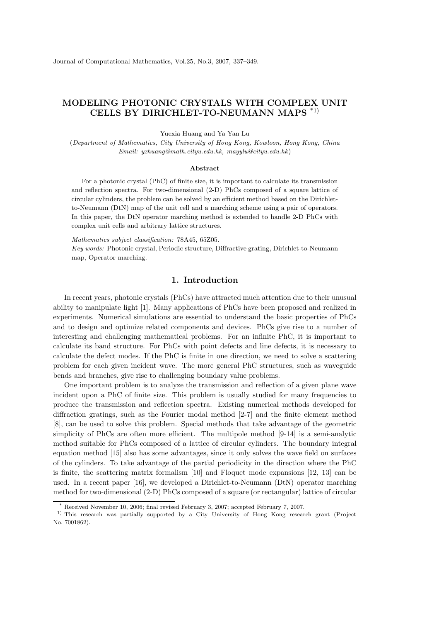# MODELING PHOTONIC CRYSTALS WITH COMPLEX UNIT CELLS BY DIRICHLET-TO-NEUMANN MAPS \*1)

Yuexia Huang and Ya Yan Lu

(Department of Mathematics, City University of Hong Kong, Kowloon, Hong Kong, China Email: yxhuang@math.cityu.edu.hk, mayylu@cityu.edu.hk)

#### Abstract

For a photonic crystal (PhC) of finite size, it is important to calculate its transmission and reflection spectra. For two-dimensional (2-D) PhCs composed of a square lattice of circular cylinders, the problem can be solved by an efficient method based on the Dirichletto-Neumann (DtN) map of the unit cell and a marching scheme using a pair of operators. In this paper, the DtN operator marching method is extended to handle 2-D PhCs with complex unit cells and arbitrary lattice structures.

Mathematics subject classification: 78A45, 65Z05.

Key words: Photonic crystal, Periodic structure, Diffractive grating, Dirichlet-to-Neumann map, Operator marching.

### 1. Introduction

In recent years, photonic crystals (PhCs) have attracted much attention due to their unusual ability to manipulate light [1]. Many applications of PhCs have been proposed and realized in experiments. Numerical simulations are essential to understand the basic properties of PhCs and to design and optimize related components and devices. PhCs give rise to a number of interesting and challenging mathematical problems. For an infinite PhC, it is important to calculate its band structure. For PhCs with point defects and line defects, it is necessary to calculate the defect modes. If the PhC is finite in one direction, we need to solve a scattering problem for each given incident wave. The more general PhC structures, such as waveguide bends and branches, give rise to challenging boundary value problems.

One important problem is to analyze the transmission and reflection of a given plane wave incident upon a PhC of finite size. This problem is usually studied for many frequencies to produce the transmission and reflection spectra. Existing numerical methods developed for diffraction gratings, such as the Fourier modal method [2-7] and the finite element method [8], can be used to solve this problem. Special methods that take advantage of the geometric simplicity of PhCs are often more efficient. The multipole method [9-14] is a semi-analytic method suitable for PhCs composed of a lattice of circular cylinders. The boundary integral equation method [15] also has some advantages, since it only solves the wave field on surfaces of the cylinders. To take advantage of the partial periodicity in the direction where the PhC is finite, the scattering matrix formalism [10] and Floquet mode expansions [12, 13] can be used. In a recent paper [16], we developed a Dirichlet-to-Neumann (DtN) operator marching method for two-dimensional (2-D) PhCs composed of a square (or rectangular) lattice of circular

<sup>\*</sup> Received November 10, 2006; final revised February 3, 2007; accepted February 7, 2007.

<sup>1)</sup> This research was partially supported by a City University of Hong Kong research grant (Project No. 7001862).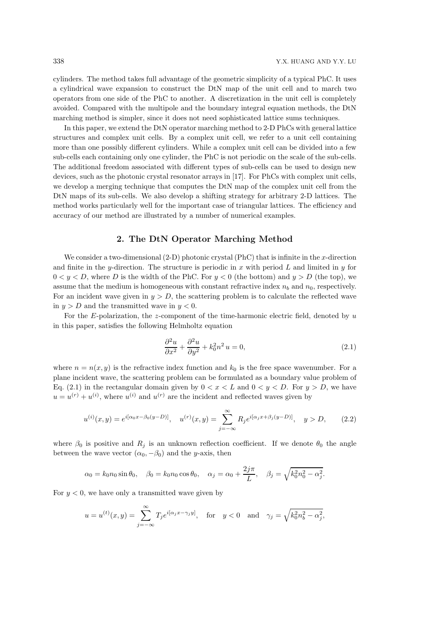cylinders. The method takes full advantage of the geometric simplicity of a typical PhC. It uses a cylindrical wave expansion to construct the DtN map of the unit cell and to march two operators from one side of the PhC to another. A discretization in the unit cell is completely avoided. Compared with the multipole and the boundary integral equation methods, the DtN marching method is simpler, since it does not need sophisticated lattice sums techniques.

In this paper, we extend the DtN operator marching method to 2-D PhCs with general lattice structures and complex unit cells. By a complex unit cell, we refer to a unit cell containing more than one possibly different cylinders. While a complex unit cell can be divided into a few sub-cells each containing only one cylinder, the PhC is not periodic on the scale of the sub-cells. The additional freedom associated with different types of sub-cells can be used to design new devices, such as the photonic crystal resonator arrays in [17]. For PhCs with complex unit cells, we develop a merging technique that computes the DtN map of the complex unit cell from the DtN maps of its sub-cells. We also develop a shifting strategy for arbitrary 2-D lattices. The method works particularly well for the important case of triangular lattices. The efficiency and accuracy of our method are illustrated by a number of numerical examples.

# 2. The DtN Operator Marching Method

We consider a two-dimensional  $(2-D)$  photonic crystal (PhC) that is infinite in the x-direction and finite in the y-direction. The structure is periodic in x with period  $L$  and limited in y for  $0 < y < D$ , where D is the width of the PhC. For  $y < 0$  (the bottom) and  $y > D$  (the top), we assume that the medium is homogeneous with constant refractive index  $n_b$  and  $n_0$ , respectively. For an incident wave given in  $y > D$ , the scattering problem is to calculate the reflected wave in  $y > D$  and the transmitted wave in  $y < 0$ .

For the E-polarization, the z-component of the time-harmonic electric field, denoted by  $u$ in this paper, satisfies the following Helmholtz equation

$$
\frac{\partial^2 u}{\partial x^2} + \frac{\partial^2 u}{\partial y^2} + k_0^2 n^2 u = 0,
$$
\n(2.1)

where  $n = n(x, y)$  is the refractive index function and  $k_0$  is the free space wavenumber. For a plane incident wave, the scattering problem can be formulated as a boundary value problem of Eq. (2.1) in the rectangular domain given by  $0 < x < L$  and  $0 < y < D$ . For  $y > D$ , we have  $u = u^{(r)} + u^{(i)}$ , where  $u^{(i)}$  and  $u^{(r)}$  are the incident and reflected waves given by

$$
u^{(i)}(x,y) = e^{i[\alpha_0 x - \beta_0 (y - D)]}, \quad u^{(r)}(x,y) = \sum_{j=-\infty}^{\infty} R_j e^{i[\alpha_j x + \beta_j (y - D)]}, \quad y > D,
$$
 (2.2)

where  $\beta_0$  is positive and  $R_j$  is an unknown reflection coefficient. If we denote  $\theta_0$  the angle between the wave vector  $(\alpha_0, -\beta_0)$  and the y-axis, then

$$
\alpha_0 = k_0 n_0 \sin \theta_0
$$
,  $\beta_0 = k_0 n_0 \cos \theta_0$ ,  $\alpha_j = \alpha_0 + \frac{2j\pi}{L}$ ,  $\beta_j = \sqrt{k_0^2 n_0^2 - \alpha_j^2}$ .

For  $y < 0$ , we have only a transmitted wave given by

$$
u = u^{(t)}(x, y) = \sum_{j=-\infty}^{\infty} T_j e^{i[\alpha_j x - \gamma_j y]},
$$
 for  $y < 0$  and  $\gamma_j = \sqrt{k_0^2 n_b^2 - \alpha_j^2}$ ,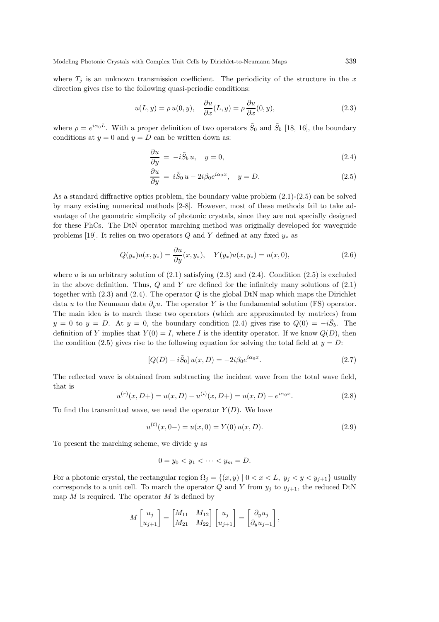where  $T_j$  is an unknown transmission coefficient. The periodicity of the structure in the x direction gives rise to the following quasi-periodic conditions:

$$
u(L, y) = \rho u(0, y), \quad \frac{\partial u}{\partial x}(L, y) = \rho \frac{\partial u}{\partial x}(0, y), \tag{2.3}
$$

where  $\rho = e^{i\alpha_0 L}$ . With a proper definition of two operators  $\tilde{S}_0$  and  $\tilde{S}_b$  [18, 16], the boundary conditions at  $y = 0$  and  $y = D$  can be written down as:

$$
\frac{\partial u}{\partial y} = -i\tilde{S}_b u, \quad y = 0,
$$
\n(2.4)

$$
\frac{\partial u}{\partial y} = i\tilde{S}_0 u - 2i\beta_0 e^{i\alpha_0 x}, \quad y = D.
$$
\n(2.5)

As a standard diffractive optics problem, the boundary value problem (2.1)-(2.5) can be solved by many existing numerical methods [2-8]. However, most of these methods fail to take advantage of the geometric simplicity of photonic crystals, since they are not specially designed for these PhCs. The DtN operator marching method was originally developed for waveguide problems [19]. It relies on two operators Q and Y defined at any fixed  $y_*$  as

$$
Q(y_*)u(x,y_*) = \frac{\partial u}{\partial y}(x,y_*), \quad Y(y_*)u(x,y_*) = u(x,0), \tag{2.6}
$$

where u is an arbitrary solution of  $(2.1)$  satisfying  $(2.3)$  and  $(2.4)$ . Condition  $(2.5)$  is excluded in the above definition. Thus,  $Q$  and  $Y$  are defined for the infinitely many solutions of  $(2.1)$ together with  $(2.3)$  and  $(2.4)$ . The operator Q is the global DtN map which maps the Dirichlet data u to the Neumann data  $\partial_{\nu}u$ . The operator Y is the fundamental solution (FS) operator. The main idea is to march these two operators (which are approximated by matrices) from  $y = 0$  to  $y = D$ . At  $y = 0$ , the boundary condition (2.4) gives rise to  $Q(0) = -i\tilde{S}_b$ . The definition of Y implies that  $Y(0) = I$ , where I is the identity operator. If we know  $Q(D)$ , then the condition (2.5) gives rise to the following equation for solving the total field at  $y = D$ :

$$
[Q(D) - i\tilde{S}_0]u(x, D) = -2i\beta_0 e^{i\alpha_0 x}.
$$
\n(2.7)

The reflected wave is obtained from subtracting the incident wave from the total wave field, that is

$$
u^{(r)}(x, D+) = u(x, D) - u^{(i)}(x, D+) = u(x, D) - e^{i\alpha_0 x}.
$$
\n(2.8)

To find the transmitted wave, we need the operator  $Y(D)$ . We have

$$
u^{(t)}(x, 0-) = u(x, 0) = Y(0) u(x, D).
$$
\n(2.9)

To present the marching scheme, we divide  $u$  as

$$
0=y_0
$$

For a photonic crystal, the rectangular region  $\Omega_j = \{(x, y) | 0 < x < L, y_j < y < y_{j+1}\}\$ usually corresponds to a unit cell. To march the operator Q and Y from  $y_j$  to  $y_{j+1}$ , the reduced DtN map  $M$  is required. The operator  $M$  is defined by

$$
M\begin{bmatrix} u_j \\ u_{j+1} \end{bmatrix} = \begin{bmatrix} M_{11} & M_{12} \\ M_{21} & M_{22} \end{bmatrix} \begin{bmatrix} u_j \\ u_{j+1} \end{bmatrix} = \begin{bmatrix} \partial_y u_j \\ \partial_y u_{j+1} \end{bmatrix},
$$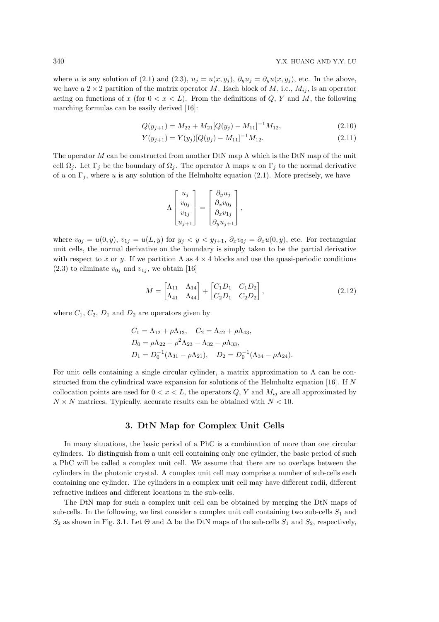where u is any solution of (2.1) and (2.3),  $u_j = u(x, y_j)$ ,  $\partial_y u_j = \partial_y u(x, y_j)$ , etc. In the above, we have a  $2 \times 2$  partition of the matrix operator M. Each block of M, i.e.,  $M_{ij}$ , is an operator acting on functions of x (for  $0 < x < L$ ). From the definitions of Q, Y and M, the following marching formulas can be easily derived [16]:

$$
Q(y_{j+1}) = M_{22} + M_{21} [Q(y_j) - M_{11}]^{-1} M_{12},
$$
\n(2.10)

$$
Y(y_{j+1}) = Y(y_j)[Q(y_j) - M_{11}]^{-1}M_{12}.
$$
\n(2.11)

The operator M can be constructed from another DtN map  $\Lambda$  which is the DtN map of the unit cell  $\Omega_j$ . Let  $\Gamma_j$  be the boundary of  $\Omega_j$ . The operator  $\Lambda$  maps u on  $\Gamma_j$  to the normal derivative of u on  $\Gamma_j$ , where u is any solution of the Helmholtz equation (2.1). More precisely, we have

$$
\Lambda \begin{bmatrix} u_j \\ v_{0j} \\ v_{1j} \\ u_{j+1} \end{bmatrix} = \begin{bmatrix} \partial_y u_j \\ \partial_x v_{0j} \\ \partial_x v_{1j} \\ \partial_y u_{j+1} \end{bmatrix},
$$

where  $v_{0j} = u(0, y)$ ,  $v_{1j} = u(L, y)$  for  $y_j < y < y_{j+1}$ ,  $\partial_x v_{0j} = \partial_x u(0, y)$ , etc. For rectangular unit cells, the normal derivative on the boundary is simply taken to be the partial derivative with respect to x or y. If we partition  $\Lambda$  as  $4 \times 4$  blocks and use the quasi-periodic conditions  $(2.3)$  to eliminate  $v_{0j}$  and  $v_{1j}$ , we obtain [16]

$$
M = \begin{bmatrix} \Lambda_{11} & \Lambda_{14} \\ \Lambda_{41} & \Lambda_{44} \end{bmatrix} + \begin{bmatrix} C_1 D_1 & C_1 D_2 \\ C_2 D_1 & C_2 D_2 \end{bmatrix},
$$
(2.12)

where  $C_1$ ,  $C_2$ ,  $D_1$  and  $D_2$  are operators given by

$$
C_1 = \Lambda_{12} + \rho \Lambda_{13}, \quad C_2 = \Lambda_{42} + \rho \Lambda_{43},
$$
  
\n
$$
D_0 = \rho \Lambda_{22} + \rho^2 \Lambda_{23} - \Lambda_{32} - \rho \Lambda_{33},
$$
  
\n
$$
D_1 = D_0^{-1} (\Lambda_{31} - \rho \Lambda_{21}), \quad D_2 = D_0^{-1} (\Lambda_{34} - \rho \Lambda_{24}).
$$

For unit cells containing a single circular cylinder, a matrix approximation to  $\Lambda$  can be constructed from the cylindrical wave expansion for solutions of the Helmholtz equation [16]. If  $N$ collocation points are used for  $0 < x < L$ , the operators Q, Y and  $M_{ij}$  are all approximated by  $N \times N$  matrices. Typically, accurate results can be obtained with  $N < 10$ .

### 3. DtN Map for Complex Unit Cells

In many situations, the basic period of a PhC is a combination of more than one circular cylinders. To distinguish from a unit cell containing only one cylinder, the basic period of such a PhC will be called a complex unit cell. We assume that there are no overlaps between the cylinders in the photonic crystal. A complex unit cell may comprise a number of sub-cells each containing one cylinder. The cylinders in a complex unit cell may have different radii, different refractive indices and different locations in the sub-cells.

The DtN map for such a complex unit cell can be obtained by merging the DtN maps of sub-cells. In the following, we first consider a complex unit cell containing two sub-cells  $S_1$  and  $S_2$  as shown in Fig. 3.1. Let  $\Theta$  and  $\Delta$  be the DtN maps of the sub-cells  $S_1$  and  $S_2$ , respectively,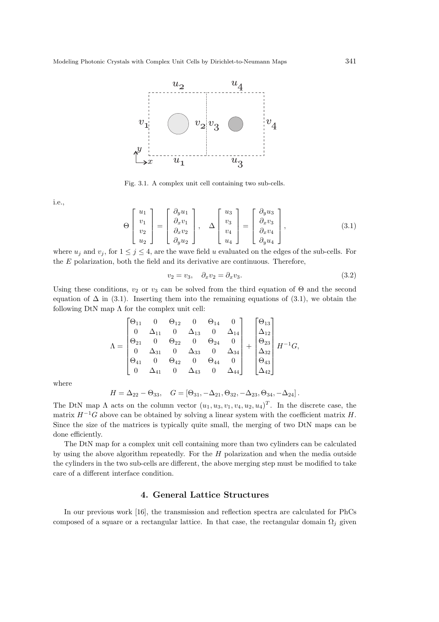

Fig. 3.1. A complex unit cell containing two sub-cells.

i.e.,

$$
\Theta\begin{bmatrix} u_1 \\ v_1 \\ v_2 \\ u_2 \end{bmatrix} = \begin{bmatrix} \partial_y u_1 \\ \partial_x v_1 \\ \partial_x v_2 \\ \partial_y u_2 \end{bmatrix}, \quad \Delta\begin{bmatrix} u_3 \\ v_3 \\ v_4 \\ u_4 \end{bmatrix} = \begin{bmatrix} \partial_y u_3 \\ \partial_x v_3 \\ \partial_x v_4 \\ \partial_y u_4 \end{bmatrix}, \tag{3.1}
$$

where  $u_j$  and  $v_j$ , for  $1 \leq j \leq 4$ , are the wave field u evaluated on the edges of the sub-cells. For the E polarization, both the field and its derivative are continuous. Therefore,

$$
v_2 = v_3, \quad \partial_x v_2 = \partial_x v_3. \tag{3.2}
$$

Using these conditions,  $v_2$  or  $v_3$  can be solved from the third equation of  $\Theta$  and the second equation of  $\Delta$  in (3.1). Inserting them into the remaining equations of (3.1), we obtain the following DtN map  $\Lambda$  for the complex unit cell:

$$
\Lambda = \begin{bmatrix} \Theta_{11} & 0 & \Theta_{12} & 0 & \Theta_{14} & 0 \\ 0 & \Delta_{11} & 0 & \Delta_{13} & 0 & \Delta_{14} \\ \Theta_{21} & 0 & \Theta_{22} & 0 & \Theta_{24} & 0 \\ 0 & \Delta_{31} & 0 & \Delta_{33} & 0 & \Delta_{34} \\ \Theta_{41} & 0 & \Theta_{42} & 0 & \Theta_{44} & 0 \\ 0 & \Delta_{41} & 0 & \Delta_{43} & 0 & \Delta_{44} \end{bmatrix} + \begin{bmatrix} \Theta_{13} \\ \Delta_{12} \\ \Theta_{23} \\ \Delta_{32} \\ \Theta_{43} \\ \Delta_{42} \end{bmatrix} H^{-1}G,
$$

where

$$
H = \Delta_{22} - \Theta_{33}, \quad G = [\Theta_{31}, -\Delta_{21}, \Theta_{32}, -\Delta_{23}, \Theta_{34}, -\Delta_{24}].
$$

The DtN map  $\Lambda$  acts on the column vector  $(u_1, u_3, v_1, v_4, u_2, u_4)^T$ . In the discrete case, the matrix  $H^{-1}G$  above can be obtained by solving a linear system with the coefficient matrix H. Since the size of the matrices is typically quite small, the merging of two DtN maps can be done efficiently.

The DtN map for a complex unit cell containing more than two cylinders can be calculated by using the above algorithm repeatedly. For the H polarization and when the media outside the cylinders in the two sub-cells are different, the above merging step must be modified to take care of a different interface condition.

## 4. General Lattice Structures

In our previous work [16], the transmission and reflection spectra are calculated for PhCs composed of a square or a rectangular lattice. In that case, the rectangular domain  $\Omega_i$  given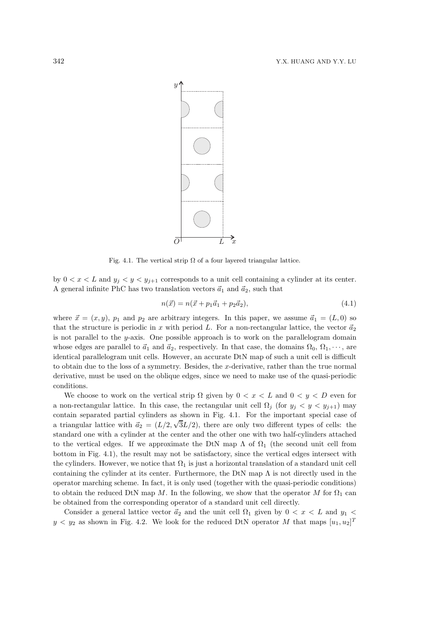

Fig. 4.1. The vertical strip  $\Omega$  of a four layered triangular lattice.

by  $0 < x < L$  and  $y_i < y < y_{i+1}$  corresponds to a unit cell containing a cylinder at its center. A general infinite PhC has two translation vectors  $\vec{a}_1$  and  $\vec{a}_2$ , such that

$$
n(\vec{x}) = n(\vec{x} + p_1\vec{a}_1 + p_2\vec{a}_2),
$$
\n(4.1)

where  $\vec{x} = (x, y)$ ,  $p_1$  and  $p_2$  are arbitrary integers. In this paper, we assume  $\vec{a}_1 = (L, 0)$  so that the structure is periodic in x with period L. For a non-rectangular lattice, the vector  $\vec{a}_2$ is not parallel to the y-axis. One possible approach is to work on the parallelogram domain whose edges are parallel to  $\vec{a}_1$  and  $\vec{a}_2$ , respectively. In that case, the domains  $\Omega_0, \Omega_1, \cdots$ , are identical parallelogram unit cells. However, an accurate DtN map of such a unit cell is difficult to obtain due to the loss of a symmetry. Besides, the x-derivative, rather than the true normal derivative, must be used on the oblique edges, since we need to make use of the quasi-periodic conditions.

We choose to work on the vertical strip  $\Omega$  given by  $0 < x < L$  and  $0 < y < D$  even for a non-rectangular lattice. In this case, the rectangular unit cell  $\Omega_i$  (for  $y_i < y < y_{i+1}$ ) may contain separated partial cylinders as shown in Fig. 4.1. For the important special case of a triangular lattice with  $\vec{a_2} = (L/2, \sqrt{3}L/2)$ , there are only two different types of cells: the standard one with a cylinder at the center and the other one with two half-cylinders attached to the vertical edges. If we approximate the DtN map  $\Lambda$  of  $\Omega_1$  (the second unit cell from bottom in Fig. 4.1), the result may not be satisfactory, since the vertical edges intersect with the cylinders. However, we notice that  $\Omega_1$  is just a horizontal translation of a standard unit cell containing the cylinder at its center. Furthermore, the DtN map  $\Lambda$  is not directly used in the operator marching scheme. In fact, it is only used (together with the quasi-periodic conditions) to obtain the reduced DtN map M. In the following, we show that the operator M for  $\Omega_1$  can be obtained from the corresponding operator of a standard unit cell directly.

Consider a general lattice vector  $\vec{a}_2$  and the unit cell  $\Omega_1$  given by  $0 < x < L$  and  $y_1 <$  $y < y_2$  as shown in Fig. 4.2. We look for the reduced DtN operator M that maps  $[u_1, u_2]^T$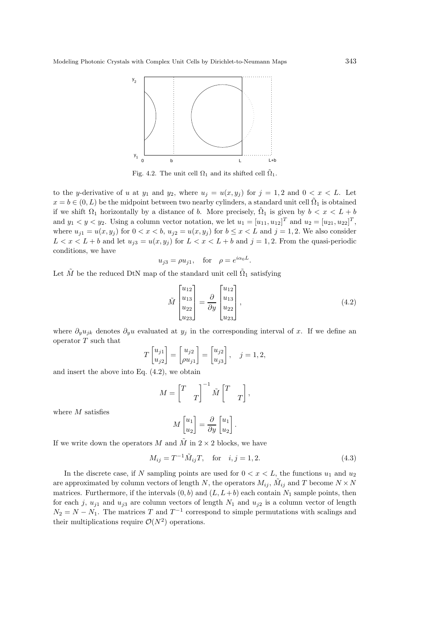

Fig. 4.2. The unit cell  $\Omega_1$  and its shifted cell  $\tilde{\Omega}_1$ .

to the y-derivative of u at  $y_1$  and  $y_2$ , where  $u_j = u(x, y_j)$  for  $j = 1, 2$  and  $0 < x < L$ . Let  $x = b \in (0, L)$  be the midpoint between two nearby cylinders, a standard unit cell  $\tilde{\Omega}_1$  is obtained if we shift  $\Omega_1$  horizontally by a distance of b. More precisely,  $\tilde{\Omega}_1$  is given by  $b < x < L + b$ and  $y_1 < y < y_2$ . Using a column vector notation, we let  $u_1 = [u_{11}, u_{12}]^T$  and  $u_2 = [u_{21}, u_{22}]^T$ , where  $u_{j1} = u(x, y_j)$  for  $0 < x < b$ ,  $u_{j2} = u(x, y_j)$  for  $b \le x < L$  and  $j = 1, 2$ . We also consider  $L < x < L + b$  and let  $u_{j3} = u(x, y_j)$  for  $L < x < L + b$  and  $j = 1, 2$ . From the quasi-periodic conditions, we have

$$
u_{j3} = \rho u_{j1}, \quad \text{for} \quad \rho = e^{i\alpha_0 L}.
$$

Let  $\tilde{M}$  be the reduced DtN map of the standard unit cell  $\tilde{\Omega}_1$  satisfying

$$
\tilde{M} \begin{bmatrix} u_{12} \\ u_{13} \\ u_{22} \\ u_{23} \end{bmatrix} = \frac{\partial}{\partial y} \begin{bmatrix} u_{12} \\ u_{13} \\ u_{22} \\ u_{23} \end{bmatrix},
$$
\n(4.2)

where  $\partial_y u_{jk}$  denotes  $\partial_y u$  evaluated at  $y_j$  in the corresponding interval of x. If we define an operator  $T$  such that

$$
T\begin{bmatrix} u_{j1} \\ u_{j2} \end{bmatrix} = \begin{bmatrix} u_{j2} \\ \rho u_{j1} \end{bmatrix} = \begin{bmatrix} u_{j2} \\ u_{j3} \end{bmatrix}, \quad j = 1, 2,
$$

and insert the above into Eq. (4.2), we obtain

$$
M = \begin{bmatrix} T & 0 \\ 0 & T \end{bmatrix}^{-1} \tilde{M} \begin{bmatrix} T & 0 \\ 0 & T \end{bmatrix},
$$

where M satisfies

$$
M\begin{bmatrix} u_1 \\ u_2 \end{bmatrix} = \frac{\partial}{\partial y} \begin{bmatrix} u_1 \\ u_2 \end{bmatrix}.
$$

If we write down the operators M and  $\tilde{M}$  in  $2 \times 2$  blocks, we have

$$
M_{ij} = T^{-1} \tilde{M}_{ij} T, \text{ for } i, j = 1, 2.
$$
 (4.3)

In the discrete case, if N sampling points are used for  $0 < x < L$ , the functions  $u_1$  and  $u_2$ are approximated by column vectors of length  $N$ , the operators  $M_{ij}$ ,  $\tilde{M}_{ij}$  and  $T$  become  $N \times N$ matrices. Furthermore, if the intervals  $(0, b)$  and  $(L, L+b)$  each contain  $N_1$  sample points, then for each j,  $u_{j1}$  and  $u_{j3}$  are column vectors of length  $N_1$  and  $u_{j2}$  is a column vector of length  $N_2 = N - N_1$ . The matrices T and  $T^{-1}$  correspond to simple permutations with scalings and their multiplications require  $\mathcal{O}(N^2)$  operations.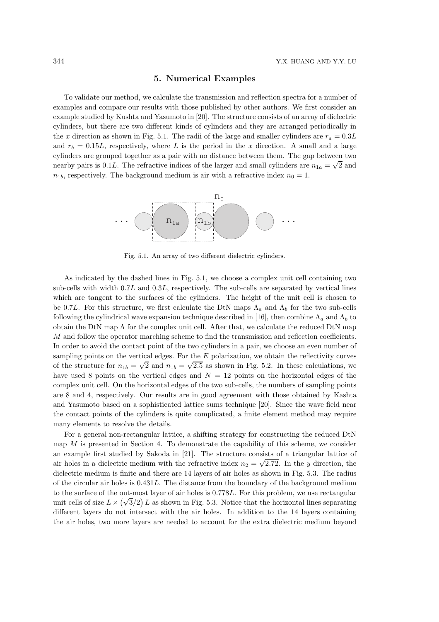### 5. Numerical Examples

To validate our method, we calculate the transmission and reflection spectra for a number of examples and compare our results with those published by other authors. We first consider an example studied by Kushta and Yasumoto in [20]. The structure consists of an array of dielectric cylinders, but there are two different kinds of cylinders and they are arranged periodically in the x direction as shown in Fig. 5.1. The radii of the large and smaller cylinders are  $r_a = 0.3L$ and  $r_b = 0.15L$ , respectively, where L is the period in the x direction. A small and a large cylinders are grouped together as a pair with no distance between them. The gap between two nearby pairs is 0.1L. The refractive indices of the larger and small cylinders are  $n_{1a} = \sqrt{2}$  and  $n_{1b}$ , respectively. The background medium is air with a refractive index  $n_0 = 1$ .



Fig. 5.1. An array of two different dielectric cylinders.

As indicated by the dashed lines in Fig. 5.1, we choose a complex unit cell containing two sub-cells with width 0.7L and 0.3L, respectively. The sub-cells are separated by vertical lines which are tangent to the surfaces of the cylinders. The height of the unit cell is chosen to be 0.7L. For this structure, we first calculate the DtN maps  $\Lambda_a$  and  $\Lambda_b$  for the two sub-cells following the cylindrical wave expansion technique described in [16], then combine  $\Lambda_a$  and  $\Lambda_b$  to obtain the DtN map  $\Lambda$  for the complex unit cell. After that, we calculate the reduced DtN map M and follow the operator marching scheme to find the transmission and reflection coefficients. In order to avoid the contact point of the two cylinders in a pair, we choose an even number of sampling points on the vertical edges. For the  $E$  polarization, we obtain the reflectivity curves of the structure for  $n_{1b} = \sqrt{2}$  and  $n_{1b} = \sqrt{2.5}$  as shown in Fig. 5.2. In these calculations, we have used 8 points on the vertical edges and  $N = 12$  points on the horizontal edges of the complex unit cell. On the horizontal edges of the two sub-cells, the numbers of sampling points are 8 and 4, respectively. Our results are in good agreement with those obtained by Kashta and Yasumoto based on a sophisticated lattice sums technique [20]. Since the wave field near the contact points of the cylinders is quite complicated, a finite element method may require many elements to resolve the details.

For a general non-rectangular lattice, a shifting strategy for constructing the reduced DtN map M is presented in Section 4. To demonstrate the capability of this scheme, we consider an example first studied by Sakoda in [21]. The structure consists of a triangular lattice of air holes in a dielectric medium with the refractive index  $n_2 = \sqrt{2.72}$ . In the y direction, the dielectric medium is finite and there are 14 layers of air holes as shown in Fig. 5.3. The radius of the circular air holes is 0.431L. The distance from the boundary of the background medium to the surface of the out-most layer of air holes is 0.778L. For this problem, we use rectangular unit cells of size  $L \times (\sqrt{3}/2) L$  as shown in Fig. 5.3. Notice that the horizontal lines separating different layers do not intersect with the air holes. In addition to the 14 layers containing the air holes, two more layers are needed to account for the extra dielectric medium beyond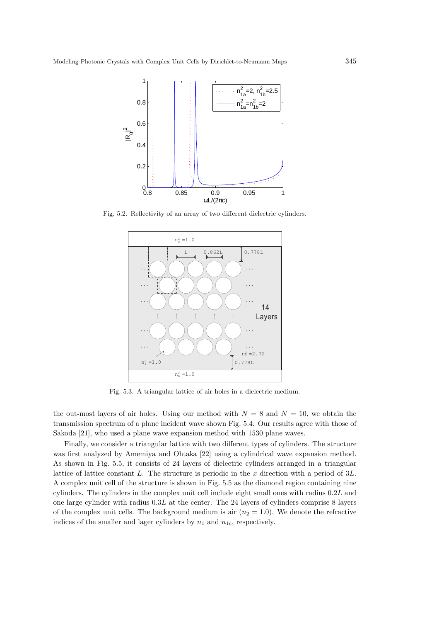

Fig. 5.2. Reflectivity of an array of two different dielectric cylinders.



Fig. 5.3. A triangular lattice of air holes in a dielectric medium.

the out-most layers of air holes. Using our method with  $N = 8$  and  $N = 10$ , we obtain the transmission spectrum of a plane incident wave shown Fig. 5.4. Our results agree with those of Sakoda [21], who used a plane wave expansion method with 1530 plane waves.

Finally, we consider a triangular lattice with two different types of cylinders. The structure was first analyzed by Amemiya and Ohtaka [22] using a cylindrical wave expansion method. As shown in Fig. 5.5, it consists of 24 layers of dielectric cylinders arranged in a triangular lattice of lattice constant L. The structure is periodic in the  $x$  direction with a period of  $3L$ . A complex unit cell of the structure is shown in Fig. 5.5 as the diamond region containing nine cylinders. The cylinders in the complex unit cell include eight small ones with radius 0.2L and one large cylinder with radius  $0.3L$  at the center. The 24 layers of cylinders comprise 8 layers of the complex unit cells. The background medium is air  $(n_2 = 1.0)$ . We denote the refractive indices of the smaller and lager cylinders by  $n_1$  and  $n_{1c}$ , respectively.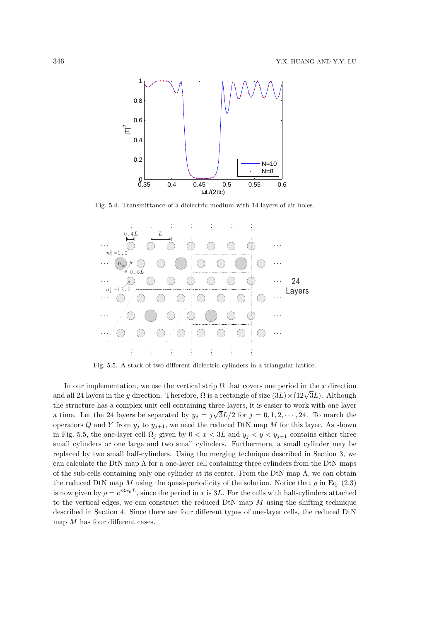

Fig. 5.4. Transmittance of a dielectric medium with 14 layers of air holes.



Fig. 5.5. A stack of two different dielectric cylinders in a triangular lattice.

In our implementation, we use the vertical strip  $\Omega$  that covers one period in the x direction and all 24 layers in the y direction. Therefore,  $\Omega$  is a rectangle of size  $(3L) \times (12\sqrt{3}L)$ . Although the structure has a complex unit cell containing three layers, it is easier to work with one layer a time. Let the 24 layers be separated by  $y_j = j\sqrt{3}L/2$  for  $j = 0, 1, 2, \dots, 24$ . To march the operators Q and Y from  $y_j$  to  $y_{j+1}$ , we need the reduced DtN map M for this layer. As shown in Fig. 5.5, the one-layer cell  $\Omega_j$  given by  $0 < x < 3L$  and  $y_j < y < y_{j+1}$  contains either three small cylinders or one large and two small cylinders. Furthermore, a small cylinder may be replaced by two small half-cylinders. Using the merging technique described in Section 3, we can calculate the DtN map  $\Lambda$  for a one-layer cell containing three cylinders from the DtN maps of the sub-cells containing only one cylinder at its center. From the DtN map  $\Lambda$ , we can obtain the reduced DtN map M using the quasi-periodicity of the solution. Notice that  $\rho$  in Eq. (2.3) is now given by  $\rho = e^{i3\alpha_0 L}$ , since the period in x is 3L. For the cells with half-cylinders attached to the vertical edges, we can construct the reduced  $DtN$  map M using the shifting technique described in Section 4. Since there are four different types of one-layer cells, the reduced DtN map  $M$  has four different cases.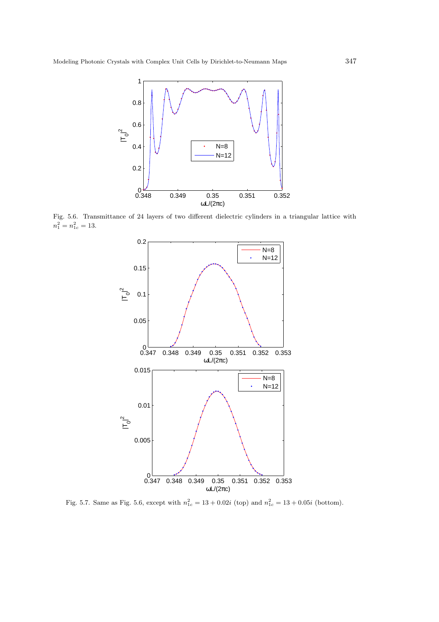

Fig. 5.6. Transmittance of 24 layers of two different dielectric cylinders in a triangular lattice with  $n_1^2 = n_{1c}^2 = 13.$ 



Fig. 5.7. Same as Fig. 5.6, except with  $n_{1c}^2 = 13 + 0.02i$  (top) and  $n_{1c}^2 = 13 + 0.05i$  (bottom).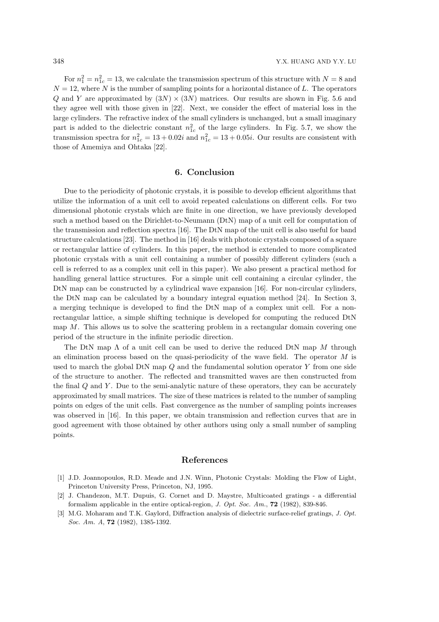For  $n_1^2 = n_{1c}^2 = 13$ , we calculate the transmission spectrum of this structure with  $N = 8$  and  $N = 12$ , where N is the number of sampling points for a horizontal distance of L. The operators Q and Y are approximated by  $(3N) \times (3N)$  matrices. Our results are shown in Fig. 5.6 and they agree well with those given in [22]. Next, we consider the effect of material loss in the large cylinders. The refractive index of the small cylinders is unchanged, but a small imaginary part is added to the dielectric constant  $n_{1c}^2$  of the large cylinders. In Fig. 5.7, we show the transmission spectra for  $n_{1c}^2 = 13 + 0.02i$  and  $n_{1c}^2 = 13 + 0.05i$ . Our results are consistent with those of Amemiya and Ohtaka [22].

#### 6. Conclusion

Due to the periodicity of photonic crystals, it is possible to develop efficient algorithms that utilize the information of a unit cell to avoid repeated calculations on different cells. For two dimensional photonic crystals which are finite in one direction, we have previously developed such a method based on the Dirichlet-to-Neumann (DtN) map of a unit cell for computation of the transmission and reflection spectra [16]. The DtN map of the unit cell is also useful for band structure calculations [23]. The method in [16] deals with photonic crystals composed of a square or rectangular lattice of cylinders. In this paper, the method is extended to more complicated photonic crystals with a unit cell containing a number of possibly different cylinders (such a cell is referred to as a complex unit cell in this paper). We also present a practical method for handling general lattice structures. For a simple unit cell containing a circular cylinder, the DtN map can be constructed by a cylindrical wave expansion [16]. For non-circular cylinders, the DtN map can be calculated by a boundary integral equation method [24]. In Section 3, a merging technique is developed to find the DtN map of a complex unit cell. For a nonrectangular lattice, a simple shifting technique is developed for computing the reduced DtN map M. This allows us to solve the scattering problem in a rectangular domain covering one period of the structure in the infinite periodic direction.

The DtN map  $\Lambda$  of a unit cell can be used to derive the reduced DtN map M through an elimination process based on the quasi-periodicity of the wave field. The operator  $M$  is used to march the global DtN map  $Q$  and the fundamental solution operator Y from one side of the structure to another. The reflected and transmitted waves are then constructed from the final  $Q$  and  $Y$ . Due to the semi-analytic nature of these operators, they can be accurately approximated by small matrices. The size of these matrices is related to the number of sampling points on edges of the unit cells. Fast convergence as the number of sampling points increases was observed in [16]. In this paper, we obtain transmission and reflection curves that are in good agreement with those obtained by other authors using only a small number of sampling points.

#### References

- [1] J.D. Joannopoulos, R.D. Meade and J.N. Winn, Photonic Crystals: Molding the Flow of Light, Princeton University Press, Princeton, NJ, 1995.
- [2] J. Chandezon, M.T. Dupuis, G. Cornet and D. Maystre, Multicoated gratings a differential formalism applicable in the entire optical-region, J. Opt. Soc. Am.,  $72$  (1982), 839-846.
- [3] M.G. Moharam and T.K. Gaylord, Diffraction analysis of dielectric surface-relief gratings, J. Opt. Soc. Am. A, **72** (1982), 1385-1392.